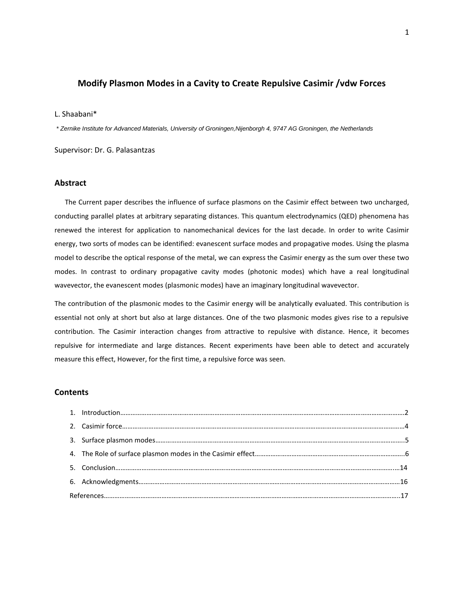# **Modify Plasmon Modes in a Cavity to Create Repulsive Casimir /vdw Forces**

### L. Shaabani\*

*\* Zernike Institute for Advanced Materials, University of Groningen,Nijenborgh 4, 9747 AG Groningen, the Netherlands*

Supervisor: Dr. G. Palasantzas

## **Abstract**

 The Current paper describes the influence of surface plasmons on the Casimir effect between two uncharged, conducting parallel plates at arbitrary separating distances. This quantum electrodynamics (QED) phenomena has renewed the interest for application to nanomechanical devices for the last decade. In order to write Casimir energy, two sorts of modes can be identified: evanescent surface modes and propagative modes. Using the plasma model to describe the optical response of the metal, we can express the Casimir energy as the sum over these two modes. In contrast to ordinary propagative cavity modes (photonic modes) which have a real longitudinal wavevector, the evanescent modes (plasmonic modes) have an imaginary longitudinal wavevector.

The contribution of the plasmonic modes to the Casimir energy will be analytically evaluated. This contribution is essential not only at short but also at large distances. One of the two plasmonic modes gives rise to a repulsive contribution. The Casimir interaction changes from attractive to repulsive with distance. Hence, it becomes repulsive for intermediate and large distances. Recent experiments have been able to detect and accurately measure this effect, However, for the first time, a repulsive force was seen.

# **Contents**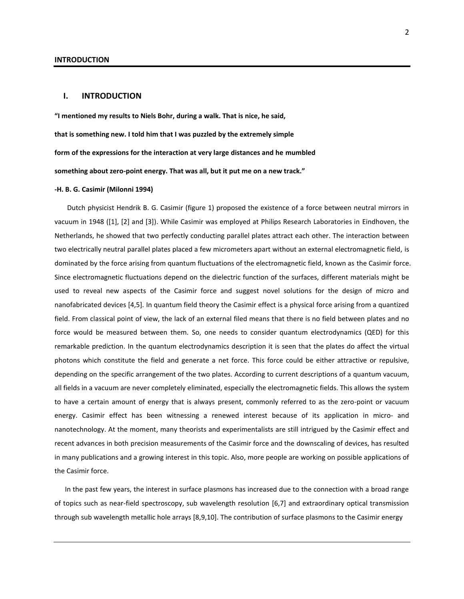### **I. INTRODUCTION**

**"I mentioned my results to Niels Bohr, during a walk. That is nice, he said, that is something new. I told him that I was puzzled by the extremely simple form of the expressions for the interaction at very large distances and he mumbled something about zero-point energy. That was all, but it put me on a new track."**

#### **-H. B. G. Casimir (Milonni 1994)**

 Dutch physicist Hendrik B. G. Casimir (figure 1) proposed the existence of a force between neutral mirrors in vacuum in 1948 ([1], [2] and [3]). While Casimir was employed at Philips Research Laboratories in Eindhoven, the Netherlands, he showed that two perfectly conducting parallel plates attract each other. The interaction between two electrically neutral parallel plates placed a few micrometers apart without an external [electromagnetic field,](http://en.wikipedia.org/wiki/Electromagnetic_field) is dominated by the force arising from quantum fluctuations of the electromagnetic field, known as the Casimir force. Since electromagnetic fluctuations depend on the dielectric function of the surfaces, different materials might be used to reveal new aspects of the Casimir force and suggest novel solutions for the design of micro and nanofabricated devices [4,5]. In quantum field theory the Casimir effect is a physical force arising from a quantized field. From classical point of view, the lack of an external filed means that there is no field between plates and no force would be measured between them. So, one needs to consider quantum electrodynamics (QED) for this remarkable prediction. In the quantum electrodynamics description it is seen that the plates do affect the virtual photons which constitute the field and generate a net force. This force could be either attractive or repulsive, depending on the specific arrangement of the two plates. According to current descriptions of a quantum vacuum, all fields in a vacuum are never completely eliminated, especially the electromagnetic fields. This allows the system to have a certain amount of energy that is always present, commonly referred to as the zero-point or vacuum energy. Casimir effect has been witnessing a renewed interest because of its application in micro- and nanotechnology. At the moment, many theorists and experimentalists are still intrigued by the Casimir effect and recent advances in both precision measurements of the Casimir force and the downscaling of devices, has resulted in many publications and a growing interest in this topic. Also, more people are working on possible applications of the Casimir force.

 In the past few years, the interest in surface plasmons has increased due to the connection with a broad range of topics such as near-field spectroscopy, sub wavelength resolution [6,7] and extraordinary optical transmission through sub wavelength metallic hole arrays [8,9,10]. The contribution of surface plasmons to the Casimir energy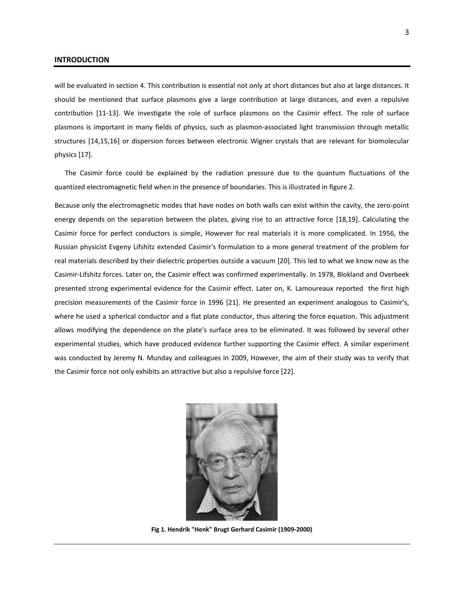#### **INTRODUCTION**

will be evaluated in section 4. This contribution is essential not only at short distances but also at large distances. It should be mentioned that surface plasmons give a large contribution at large distances, and even a repulsive contribution [11-13]. We investigate the role of surface plasmons on the Casimir effect. The role of surface plasmons is important in many fields of physics, such as plasmon-associated light transmission through metallic structures [14,15,16] or dispersion forces between electronic Wigner crystals that are relevant for biomolecular physics [17].

 The Casimir force could be explained by the radiation pressure due to the quantum fluctuations of the quantized electromagnetic field when in the presence of boundaries. This is illustrated in figure 2.

Because only the electromagnetic modes that have nodes on both walls can exist within the cavity, the zero-point energy depends on the separation between the plates, giving rise to an attractive force [18,19]. Calculating the Casimir force for perfect conductors is simple, However for real materials it is more complicated. In 1956, the Russian physicist Evgeny Lifshitz extended Casimir's formulation to a more general treatment of the problem for real materials described by their dielectric properties outside a vacuum [20]. This led to what we know now as the Casimir-Lifshitz forces. Later on, the Casimir effect was confirmed experimentally. In 1978, Blokland and Overbeek presented strong experimental evidence for the Casimir effect. Later on, K. Lamoureaux reported the first high precision measurements of the Casimir force in 1996 [21]. He presented an experiment analogous to Casimir's, where he used a spherical conductor and a flat plate conductor, thus altering the force equation. This adjustment allows modifying the dependence on the plate's surface area to be eliminated. It was followed by several other experimental studies, which have produced evidence further supporting the Casimir effect. A similar experiment was conducted by Jeremy N. Munday and colleagues in 2009, However, the aim of their study was to verify that the Casimir force not only exhibits an attractive but also a repulsive force [22].



**Fig 1. Hendrik "Henk" Brugt Gerhard Casimir (1909-2000)**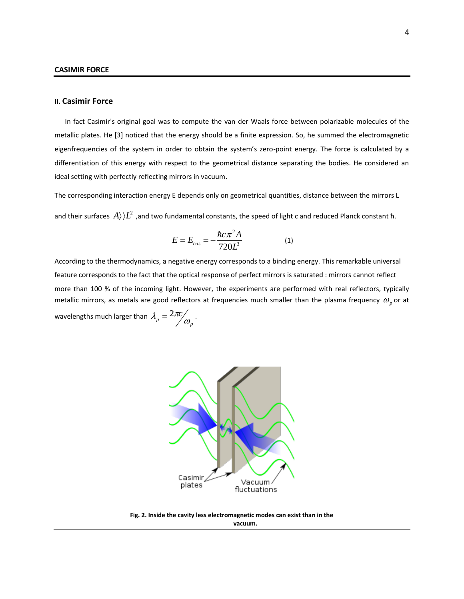## **II. Casimir Force**

 In fact Casimir's original goal was to compute the [van der Waals force](http://en.wikipedia.org/wiki/Van_der_Waals_force) between [polarizable](http://en.wikipedia.org/wiki/Dipolar_polarization) molecules of the metallic plates. He [3] noticed that the energy should be a finite expression. So, he summed the electromagnetic eigenfrequencies of the system in order to obtain the system's zero-point energy. The force is calculated by a differentiation of this energy with respect to the geometrical distance separating the bodies. He considered an ideal setting with perfectly reflecting mirrors in vacuum.

The corresponding interaction energy E depends only on geometrical quantities, distance between the mirrors L and their surfaces  $\ket{A}$   $L^2$  ,and two fundamental constants, the speed of light c and reduced Planck constant ħ.

$$
E = E_{cas} = -\frac{\hbar c \pi^2 A}{720L^3}
$$
 (1)

According to the thermodynamics, a negative energy corresponds to a binding energy. This remarkable universal feature corresponds to the fact that the optical response of perfect mirrors is saturated : mirrors cannot reflect more than 100 % of the incoming light. However, the experiments are performed with real reflectors, typically metallic mirrors, as metals are good reflectors at frequencies much smaller than the plasma frequency  $\omega_p^{}$  or at wavelengths much larger than  $\lambda_p = 2\pi c \nvert_{\omega_p}.$ 



**Fig. 2. Inside the cavity less electromagnetic modes can exist than in the vacuum.**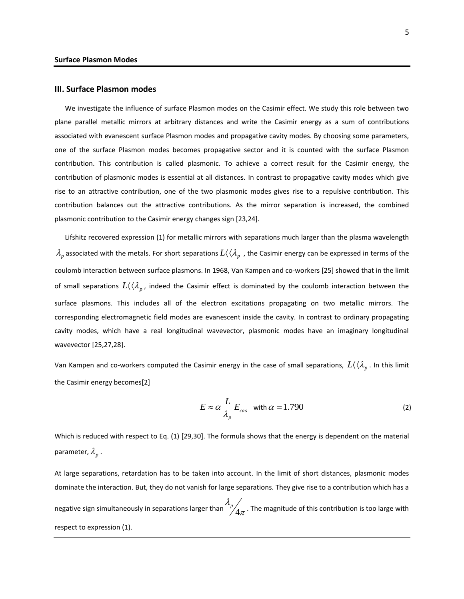## **III. Surface Plasmon modes**

 We investigate the influence of surface Plasmon modes on the Casimir effect. We study this role between two plane parallel metallic mirrors at arbitrary distances and write the Casimir energy as a sum of contributions associated with evanescent surface Plasmon modes and propagative cavity modes. By choosing some parameters, one of the surface Plasmon modes becomes propagative sector and it is counted with the surface Plasmon contribution. This contribution is called plasmonic. To achieve a correct result for the Casimir energy, the contribution of plasmonic modes is essential at all distances. In contrast to propagative cavity modes which give rise to an attractive contribution, one of the two plasmonic modes gives rise to a repulsive contribution. This contribution balances out the attractive contributions. As the mirror separation is increased, the combined plasmonic contribution to the Casimir energy changes sign [23,24].

 Lifshitz recovered expression (1) for metallic mirrors with separations much larger than the plasma wavelength  $\lambda_p$  associated with the metals. For short separations  $L(\langle\lambda_p|$ , the Casimir energy can be expressed in terms of the coulomb interaction between surface plasmons. In 1968, Van Kampen and co-workers [25] showed that in the limit of small separations  $L(\langle\lambda_p^-,z\rangle)$  indeed the Casimir effect is dominated by the coulomb interaction between the surface plasmons. This includes all of the electron excitations propagating on two metallic mirrors. The corresponding electromagnetic field modes are evanescent inside the cavity. In contrast to ordinary propagating cavity modes, which have a real longitudinal wavevector, plasmonic modes have an imaginary longitudinal wavevector [25,27,28].

Van Kampen and co-workers computed the Casimir energy in the case of small separations,  $Llanglelangle \cal{A}_p$  . In this limit the Casimir energy becomes[2]

$$
E \approx \alpha \frac{L}{\lambda_p} E_{cas} \quad \text{with } \alpha = 1.790 \tag{2}
$$

Which is reduced with respect to Eq. (1) [29,30]. The formula shows that the energy is dependent on the material parameter,  $\lambda_{_{p}}$  .

At large separations, retardation has to be taken into account. In the limit of short distances, plasmonic modes dominate the interaction. But, they do not vanish for large separations. They give rise to a contribution which has a negative sign simultaneously in separations larger than  $\sqrt[p]{4\pi}$  $\lambda$  .  $\mathbb{P} / 4 \pi$  . The magnitude of this contribution is too large with respect to expression (1).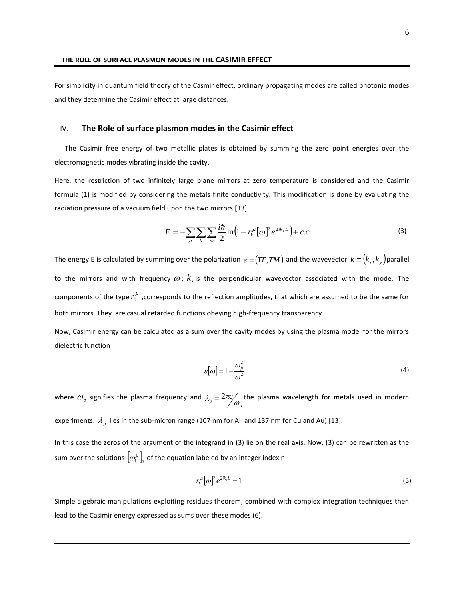For simplicity in quantum field theory of the Casmir effect, ordinary propagating modes are called photonic modes and they determine the Casimir effect at large distances.

### IV. **The Role of surface plasmon modes in the Casimir effect**

 The Casimir free energy of two metallic plates is obtained by summing the zero point energies over the electromagnetic modes vibrating inside the cavity.

Here, the restriction of two infinitely large plane mirrors at zero temperature is considered and the Casimir formula (1) is modified by considering the metals finite conductivity. This modification is done by evaluating the radiation pressure of a vacuum field upon the two mirrors [13].

$$
E = -\sum_{\mu} \sum_{k} \sum_{\omega} \frac{i\hbar}{2} \ln \left( 1 - r_k^{\mu} \left[ \omega \right] e^{2ik_z L} \right) + c.c
$$
 (3)

The energy E is calculated by summing over the polarization  $\epsilon = (TE, TM)$  and the wavevector  $k \equiv (k_x, k_y)$ parallel to the mirrors and with frequency  $\omega$ ;  $k_z$  is the perpendicular wavevector associated with the mode. The components of the type  $r_k^\mu$  ,corresponds to the reflection amplitudes, that which are assumed to be the same for both mirrors. They are casual retarded functions obeying high-frequency transparency.

Now, Casimir energy can be calculated as a sum over the cavity modes by using the plasma model for the mirrors dielectric function

$$
\varepsilon[\omega] = 1 - \frac{\omega_p^2}{\omega^2} \tag{4}
$$

where  $\omega_{_p}$  signifies the plasma frequency and  $\lambda_p = 2\pi c \frac{1}{\omega_p}$  the plasma wavelength for metals used in modern experiments.  $\lambda_p^{\,}$  lies in the sub-micron range (107 nm for Al and 137 nm for Cu and Au) [13].

In this case the zeros of the argument of the integrand in (3) lie on the real axis. Now, (3) can be rewritten as the sum over the solutions  $\left[\varpi_\ell^\mu\right]_n$  of the equation labeled by an integer index n

$$
r_k^{\mu} [\omega]^{2} e^{2ik_z L} = 1 \tag{5}
$$

Simple algebraic manipulations exploiting residues theorem, combined with complex integration techniques then lead to the Casimir energy expressed as sums over these modes (6).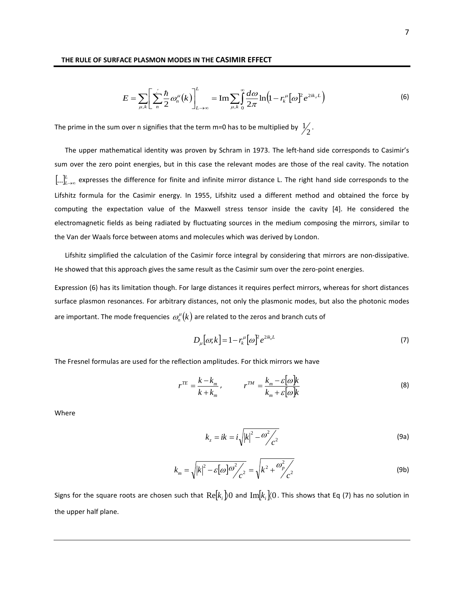$$
E = \sum_{\mu,k} \left[ \sum_{n=0}^{N} \frac{\hbar}{2} \omega_n^{\mu}(k) \right]_{L \to \infty}^{L} = \operatorname{Im} \sum_{\mu,k} \int_{0}^{\infty} \frac{d\omega}{2\pi} \ln \left( 1 - r_k^{\mu} \left[ \omega \right]^{2} e^{2ik_z L} \right) \tag{6}
$$

The prime in the sum over n signifies that the term m=0 has to be multiplied by  $\frac{1}{2}$ .

 The upper mathematical identity was proven by Schram in 1973. The left-hand side corresponds to Casimir's sum over the zero point energies, but in this case the relevant modes are those of the real cavity. The notation  $[...]_{L\to\infty}^L$  expresses the difference for finite and infinite mirror distance L. The right hand side corresponds to the Lifshitz formula for the Casimir energy. In 1955, Lifshitz used a different method and obtained the force by computing the expectation value of the Maxwell stress tensor inside the cavity [4]. He considered the electromagnetic fields as being radiated by fluctuating sources in the medium composing the mirrors, similar to the Van der Waals force between atoms and molecules which was derived by London.

 Lifshitz simplified the calculation of the Casimir force integral by considering that mirrors are non-dissipative. He showed that this approach gives the same result as the Casimir sum over the zero-point energies.

Expression (6) has its limitation though. For large distances it requires perfect mirrors, whereas for short distances surface plasmon resonances. For arbitrary distances, not only the plasmonic modes, but also the photonic modes are important. The mode frequencies  $\, \omega_n^{\mu} (k)$  are related to the zeros and branch cuts of

$$
D_{\mu}[\omega;k] = 1 - r_k^{\mu}[\omega]^2 e^{2ik_zL}
$$
 (7)

The Fresnel formulas are used for the reflection amplitudes. For thick mirrors we have

$$
r^{TE} = \frac{k - k_m}{k + k_m}, \qquad r^{TM} = \frac{k_m - \varepsilon \omega k}{k_m + \varepsilon \omega k}
$$
(8)

Where

$$
k_z = ik = i\sqrt{\left|k\right|^2 - \omega^2/c^2}
$$
 (9a)

$$
k_m = \sqrt{|k|^2 - \varepsilon[\omega]\omega^2/c^2} = \sqrt{k^2 + \frac{\omega_p^2}{c^2}}
$$
 (9b)

Signs for the square roots are chosen such that  $\text{Re} [k_i]$ 0 and  $\text{Im} [k_i]$ (0. This shows that Eq (7) has no solution in the upper half plane.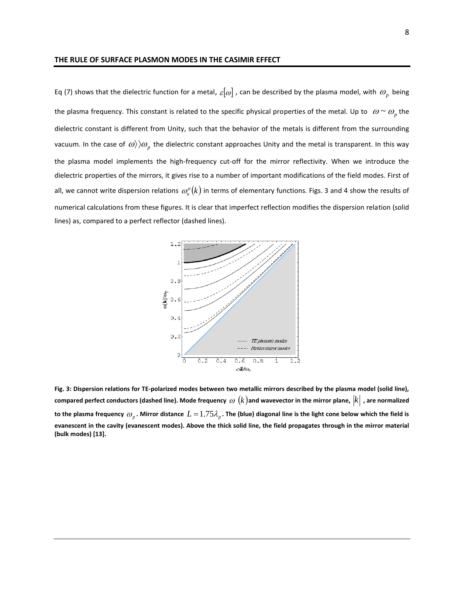Eq (7) shows that the dielectric function for a metal,  $\varepsilon[\omega]$  , can be described by the plasma model, with  $\omega_p^{}$  being the plasma frequency. This constant is related to the specific physical properties of the metal. Up to  $\omega \sim \omega_p$  the dielectric constant is different from Unity, such that the behavior of the metals is different from the surrounding vacuum. In the case of  $\omega\rangle\rangle\omega_p$  the dielectric constant approaches Unity and the metal is transparent. In this way the plasma model implements the high-frequency cut-off for the mirror reflectivity. When we introduce the dielectric properties of the mirrors, it gives rise to a number of important modifications of the field modes. First of all, we cannot write dispersion relations  $\,\varpi_n^\mu(k)$  in terms of elementary functions. Figs. 3 and 4 show the results of numerical calculations from these figures. It is clear that imperfect reflection modifies the dispersion relation (solid lines) as, compared to a perfect reflector (dashed lines).



**Fig. 3: Dispersion relations for TE-polarized modes between two metallic mirrors described by the plasma model (solid line),**  compared perfect conductors (dashed line). Mode frequency  $\,\omega\,(k)$ and wavevector in the mirror plane,  $|k|$  , are normalized to the plasma frequency  $\omega_p$  . Mirror distance  $L$   $=$   $1.75\lambda_p$  . The (blue) diagonal line is the light cone below which the field is **evanescent in the cavity (evanescent modes). Above the thick solid line, the field propagates through in the mirror material (bulk modes) [13].**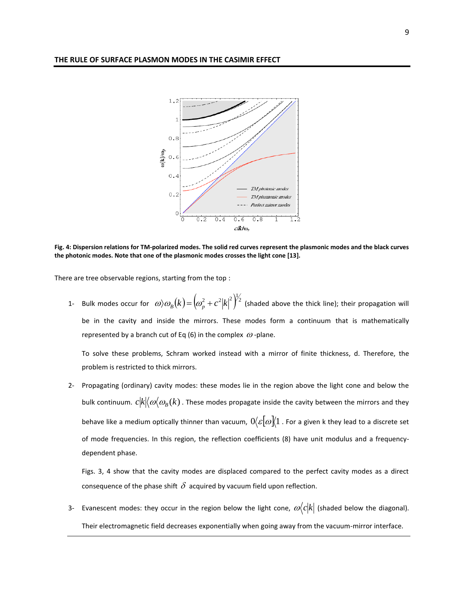

**Fig. 4: Dispersion relations for TM-polarized modes. The solid red curves represent the plasmonic modes and the black curves the photonic modes. Note that one of the plasmonic modes crosses the light cone [13].**

There are tree observable regions, starting from the top :

1- Bulk modes occur for  $\omega \rangle \omega_{_B}(k)\!=\!\left(\!\omega_p^2+c^2|k|\!\right)^2\!\!\!2$  (shaded above the thick line); their propagation will be in the cavity and inside the mirrors. These modes form a continuum that is mathematically represented by a branch cut of Eq (6) in the complex  $\omega$  -plane.

To solve these problems, Schram worked instead with a mirror of finite thickness, d. Therefore, the problem is restricted to thick mirrors.

2- Propagating (ordinary) cavity modes: these modes lie in the region above the light cone and below the bulk continuum.  $c|k|\langle \omega|\alpha_B(k)$  . These modes propagate inside the cavity between the mirrors and they behave like a medium optically thinner than vacuum,  $0\!\langle\varepsilon[\varpi]\!\langle 1$  . For a given k they lead to a discrete set of mode frequencies. In this region, the reflection coefficients (8) have unit modulus and a frequencydependent phase.

Figs. 3, 4 show that the cavity modes are displaced compared to the perfect cavity modes as a direct consequence of the phase shift  $\,\delta\,$  acquired by vacuum field upon reflection.

3- Evanescent modes: they occur in the region below the light cone,  $\omega \langle c|k|$  (shaded below the diagonal). Their electromagnetic field decreases exponentially when going away from the vacuum-mirror interface.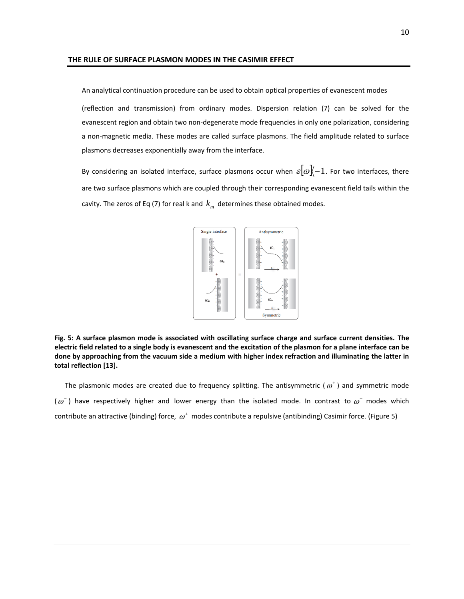An analytical continuation procedure can be used to obtain optical properties of evanescent modes

(reflection and transmission) from ordinary modes. Dispersion relation (7) can be solved for the evanescent region and obtain two non-degenerate mode frequencies in only one polarization, considering a non-magnetic media. These modes are called surface plasmons. The field amplitude related to surface plasmons decreases exponentially away from the interface.

By considering an isolated interface, surface plasmons occur when  ${\varepsilon}|\omega|\!\!\bra{-1}$ . For two interfaces, there are two surface plasmons which are coupled through their corresponding evanescent field tails within the cavity. The zeros of Eq (7) for real k and  $\,k_{_m}\,$  determines these obtained modes.



**Fig. 5: A surface plasmon mode is associated with oscillating surface charge and surface current densities. The electric field related to a single body is evanescent and the excitation of the plasmon for a plane interface can be done by approaching from the vacuum side a medium with higher index refraction and illuminating the latter in total reflection [13].**

The plasmonic modes are created due to frequency splitting. The antisymmetric ( $\omega^*$ ) and symmetric mode  $(\omega^-)$  have respectively higher and lower energy than the isolated mode. In contrast to  $\omega^-$  modes which contribute an attractive (binding) force,  $\omega^{\text{+}}$  modes contribute a repulsive (antibinding) Casimir force. (Figure 5)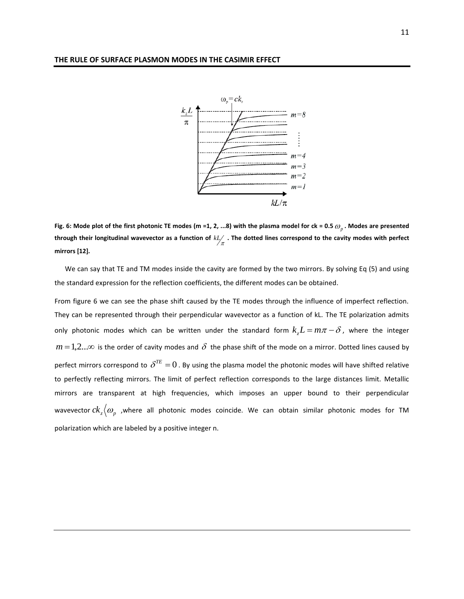

**Fig. 6: Mode plot of the first photonic TE modes (m =1, 2, ...8) with the plasma model for ck = 0.5** *<sup>p</sup>* **. Modes are presented**  through their longitudinal wavevector as a function of  $kL/$  . The dotted lines correspond to the cavity modes with perfect  $\pi$ **mirrors [12].**

 We can say that TE and TM modes inside the cavity are formed by the two mirrors. By solving Eq (5) and using the standard expression for the reflection coefficients, the different modes can be obtained.

From figure 6 we can see the phase shift caused by the TE modes through the influence of imperfect reflection. They can be represented through their perpendicular wavevector as a function of kL. The TE polarization admits only photonic modes which can be written under the standard form  $k_z L$  =  $m\pi$  –  $\delta$ , where the integer  $m$   $=$  1,2... $\infty$  is the order of cavity modes and  $\delta$  the phase shift of the mode on a mirror. Dotted lines caused by perfect mirrors correspond to  $\delta^{TE}=0$  . By using the plasma model the photonic modes will have shifted relative to perfectly reflecting mirrors. The limit of perfect reflection corresponds to the large distances limit. Metallic mirrors are transparent at high frequencies, which imposes an upper bound to their perpendicular wavevector  $ck_z\big\langle\bm{\omega}_{p}$  ,where all photonic modes coincide. We can obtain similar photonic modes for TM polarization which are labeled by a positive integer n.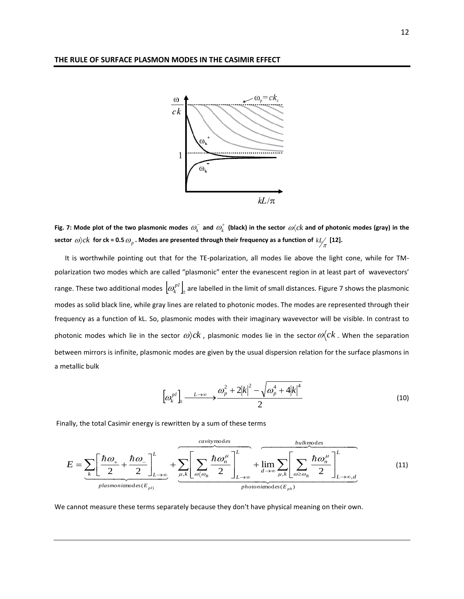

Fig. 7: Mode plot of the two plasmonic modes  $\varpi_k^-$  and  $\varpi_k^+$  (black) in the sector  $\varpi\langle ck$  and of photonic modes (gray) in the  $\frac{1}{2}$  (a)  $ck$  for ck = 0.5  $\omega_p$  . Modes are presented through their frequency as a function of  $kL$  [12].

 It is worthwhile pointing out that for the TE-polarization, all modes lie above the light cone, while for TMpolarization two modes which are called "plasmonic" enter the evanescent region in at least part of wavevectors' range. These two additional modes  $\left[\omega_k^{pl}\right]_\pm$  are labelled in the limit of small distances. Figure 7 shows the plasmonic modes as solid black line, while gray lines are related to photonic modes. The modes are represented through their frequency as a function of kL. So, plasmonic modes with their imaginary wavevector will be visible. In contrast to photonic modes which lie in the sector  $\omega\rangle ck$  , plasmonic modes lie in the sector  $\omega\langle ck$  . When the separation between mirrors is infinite, plasmonic modes are given by the usual dispersion relation for the surface plasmons in a metallic bulk

$$
\left[\omega_k^{pl}\right]_+ \xrightarrow{L \to \infty} \frac{\omega_p^2 + 2|k|^2 - \sqrt{\omega_p^4 + 4|k|^4}}{2} \tag{10}
$$

Finally, the total Casimir energy is rewritten by a sum of these terms

$$
E = \underbrace{\sum_{k} \left[ \frac{\hbar \omega_{+}}{2} + \frac{\hbar \omega_{-}}{2} \right]_{L \to \infty}^{L}}_{plasmoniamodes(E_{p1})} + \underbrace{\sum_{\mu,k} \left[ \sum_{\omega(\omega_{B}} \frac{\hbar \omega_{n}^{\mu}}{2} \right]_{L \to \infty}^{L}}_{photoniamodes(E_{p1})} + \underbrace{\lim_{d \to \infty} \sum_{\mu,k} \left[ \sum_{\omega \ge \omega_{B}} \frac{\hbar \omega_{n}^{\mu}}{2} \right]_{L \to \infty,d}^{L}}_{photoniamodes(E_{p1})}
$$
(11)

We cannot measure these terms separately because they don't have physical meaning on their own.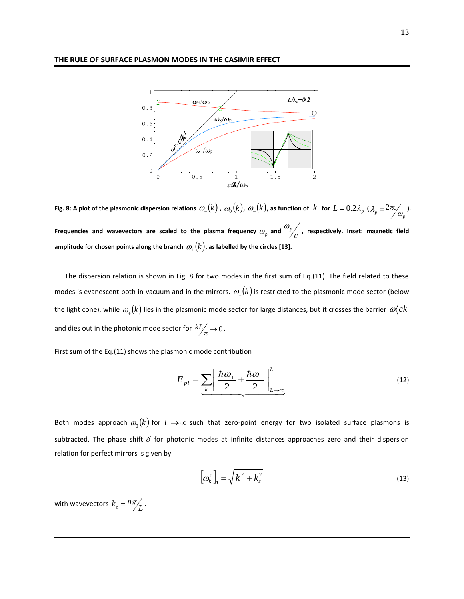

Fig. 8: A plot of the plasmonic dispersion relations  $\,\omega_+(k)$  ,  $\,\omega_0(k)$  ,  $\,\omega_-(k)$  , as function of  $|k|$  for  $\,L=0.2\lambda_p$  (  $\lambda_p = 2\pi c \frac{1}{\omega_p}$ . Frequencies and wavevectors are scaled to the plasma frequency  $\omega_p$  and  $\frac{p}{r}$  *<sup>p</sup>* **, respectively. Inset: magnetic field**  amplitude for chosen points along the branch  $\mathit{\omega}_+(k)$ , as labelled by the circles [13].

 The dispersion relation is shown in Fig. 8 for two modes in the first sum of Eq.(11). The field related to these modes is evanescent both in vacuum and in the mirrors.  $\varpi_{-}(k)$  is restricted to the plasmonic mode sector (below the light cone), while  $\,\omega_*(k)$  lies in the plasmonic mode sector for large distances, but it crosses the barrier  $\,\omega\!(ck$ and dies out in the photonic mode sector for  $\,^k\!L'\!\!\mathstrut_{\mathcal{A}}^{\mathcal{A}} \!\!\rightarrow\! 0\,.$ 

First sum of the Eq.(11) shows the plasmonic mode contribution

$$
E_{pl} = \underbrace{\sum_{k} \left[ \frac{\hbar \omega_{+}}{2} + \frac{\hbar \omega_{-}}{2} \right]_{L \to \infty}^{L}}_{L \to \infty}
$$
 (12)

Both modes approach  $\omega_{0}(k)$  for  $L\!\rightarrow\!\infty$  such that zero-point energy for two isolated surface plasmons is subtracted. The phase shift  $\delta$  for photonic modes at infinite distances approaches zero and their dispersion relation for perfect mirrors is given by

$$
\left[\omega_k^{\varepsilon}\right]_n = \sqrt{\left|k\right|^2 + k_z^2} \tag{13}
$$

with wavevectors  $k_z = n\pi / 2$ .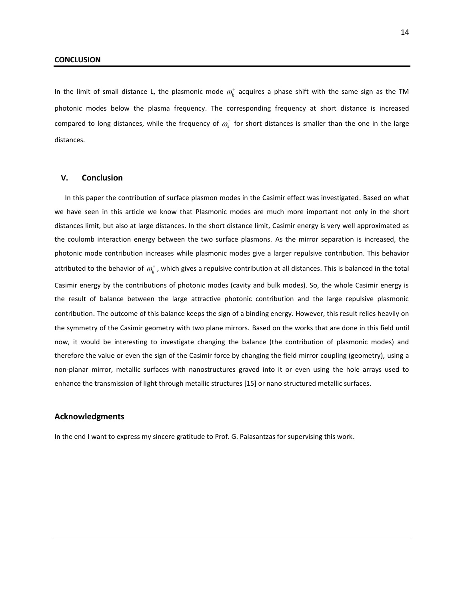In the limit of small distance L, the plasmonic mode  $\omega_k^+$  acquires a phase shift with the same sign as the TM photonic modes below the plasma frequency. The corresponding frequency at short distance is increased compared to long distances, while the frequency of  $\omega_k^-$  for short distances is smaller than the one in the large distances.

#### **V. Conclusion**

 In this paper the contribution of surface plasmon modes in the Casimir effect was investigated. Based on what we have seen in this article we know that Plasmonic modes are much more important not only in the short distances limit, but also at large distances. In the short distance limit, Casimir energy is very well approximated as the coulomb interaction energy between the two surface plasmons. As the mirror separation is increased, the photonic mode contribution increases while plasmonic modes give a larger repulsive contribution. This behavior attributed to the behavior of  $\omega_k^*$  , which gives a repulsive contribution at all distances. This is balanced in the total Casimir energy by the contributions of photonic modes (cavity and bulk modes). So, the whole Casimir energy is the result of balance between the large attractive photonic contribution and the large repulsive plasmonic contribution. The outcome of this balance keeps the sign of a binding energy. However, this result relies heavily on the symmetry of the Casimir geometry with two plane mirrors. Based on the works that are done in this field until now, it would be interesting to investigate changing the balance (the contribution of plasmonic modes) and therefore the value or even the sign of the Casimir force by changing the field mirror coupling (geometry), using a non-planar mirror, metallic surfaces with nanostructures graved into it or even using the hole arrays used to enhance the transmission of light through metallic structures [15] or nano structured metallic surfaces.

### **Acknowledgments**

In the end I want to express my sincere gratitude to Prof. G. Palasantzas for supervising this work.